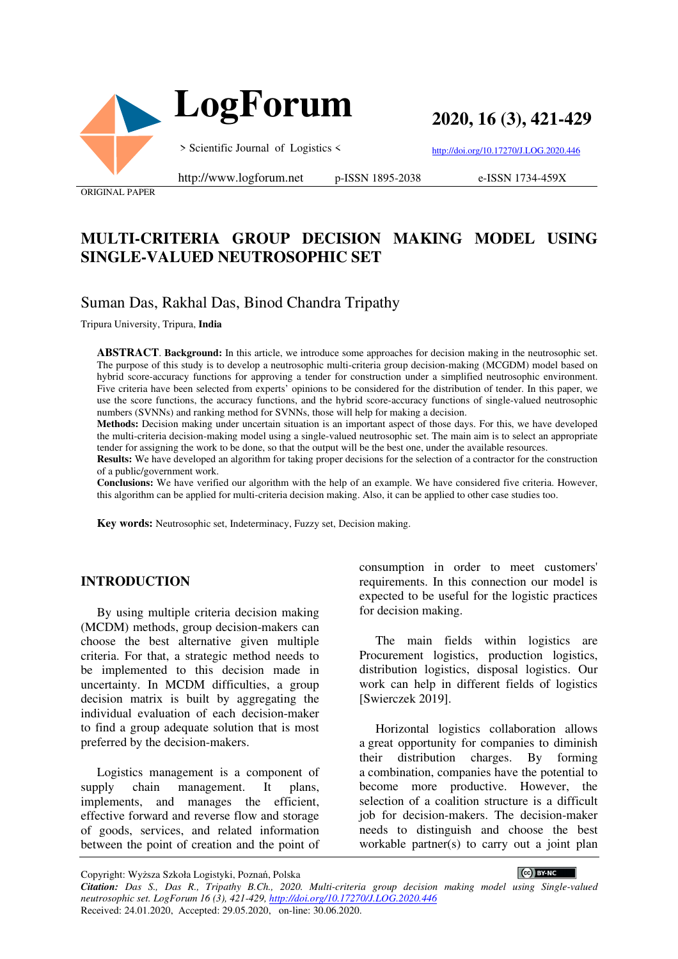

**2020, 16 (3), 421-429**

> Scientific Journal of Logistics <

http://doi.org/10.17270/J.LOG.2020.446

ORIGINAL PAPER

#### http://www.logforum.net p-ISSN 1895-2038

e-ISSN 1734-459X

# **MULTI-CRITERIA GROUP DECISION MAKING MODEL USING SINGLE-VALUED NEUTROSOPHIC SET**

# Suman Das, Rakhal Das, Binod Chandra Tripathy

Tripura University, Tripura, **India**

**ABSTRACT**. **Background:** In this article, we introduce some approaches for decision making in the neutrosophic set. The purpose of this study is to develop a neutrosophic multi-criteria group decision-making (MCGDM) model based on hybrid score-accuracy functions for approving a tender for construction under a simplified neutrosophic environment. Five criteria have been selected from experts' opinions to be considered for the distribution of tender. In this paper, we use the score functions, the accuracy functions, and the hybrid score-accuracy functions of single-valued neutrosophic numbers (SVNNs) and ranking method for SVNNs, those will help for making a decision.

**Methods:** Decision making under uncertain situation is an important aspect of those days. For this, we have developed the multi-criteria decision-making model using a single-valued neutrosophic set. The main aim is to select an appropriate tender for assigning the work to be done, so that the output will be the best one, under the available resources.

**Results:** We have developed an algorithm for taking proper decisions for the selection of a contractor for the construction of a public/government work.

**Conclusions:** We have verified our algorithm with the help of an example. We have considered five criteria. However, this algorithm can be applied for multi-criteria decision making. Also, it can be applied to other case studies too.

**Key words:** Neutrosophic set, Indeterminacy, Fuzzy set, Decision making.

#### **INTRODUCTION**

By using multiple criteria decision making (MCDM) methods, group decision-makers can choose the best alternative given multiple criteria. For that, a strategic method needs to be implemented to this decision made in uncertainty. In MCDM difficulties, a group decision matrix is built by aggregating the individual evaluation of each decision-maker to find a group adequate solution that is most preferred by the decision-makers.

Logistics management is a component of supply chain management. It plans, implements, and manages the efficient, effective forward and reverse flow and storage of goods, services, and related information between the point of creation and the point of

consumption in order to meet customers' requirements. In this connection our model is expected to be useful for the logistic practices for decision making.

The main fields within logistics are Procurement logistics, production logistics, distribution logistics, disposal logistics. Our work can help in different fields of logistics [Swierczek 2019].

Horizontal logistics collaboration allows a great opportunity for companies to diminish their distribution charges. By forming a combination, companies have the potential to become more productive. However, the selection of a coalition structure is a difficult job for decision-makers. The decision-maker needs to distinguish and choose the best workable partner(s) to carry out a joint plan

Copyright: Wyższa Szkoła Logistyki, Poznań, Polska

CC BY-NC

*Citation: Das S., Das R., Tripathy B.Ch., 2020. Multi-criteria group decision making model using Single-valued neutrosophic set. LogForum 16 (3), 421-429, http://doi.org/10.17270/J.LOG.2020.446*  Received: 24.01.2020, Accepted: 29.05.2020, on-line: 30.06.2020.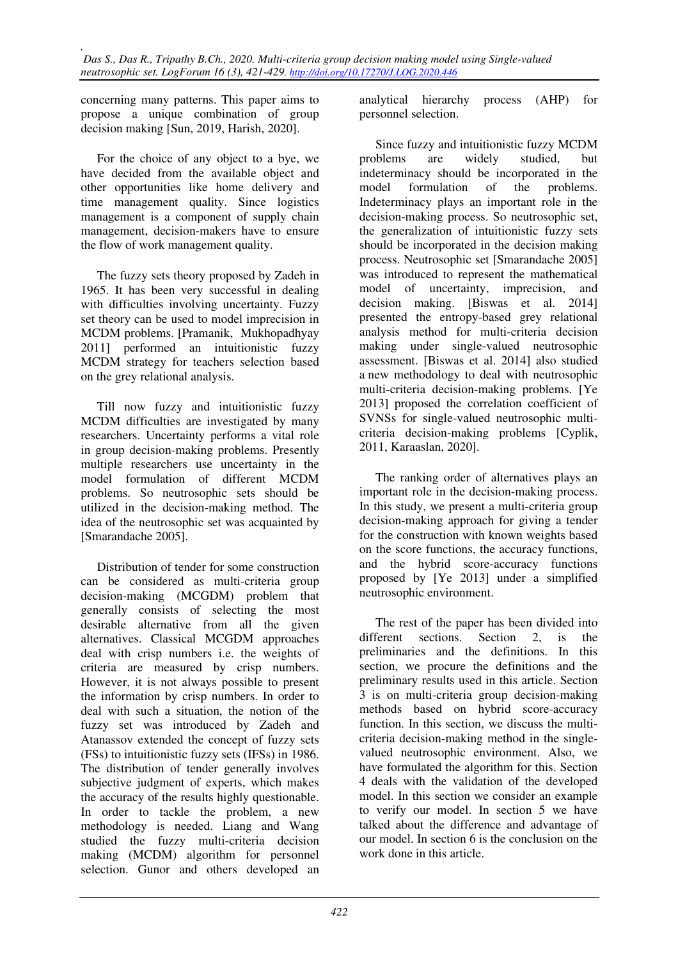concerning many patterns. This paper aims to propose a unique combination of group decision making [Sun, 2019, Harish, 2020].

For the choice of any object to a bye, we have decided from the available object and other opportunities like home delivery and time management quality. Since logistics management is a component of supply chain management, decision-makers have to ensure the flow of work management quality.

The fuzzy sets theory proposed by Zadeh in 1965. It has been very successful in dealing with difficulties involving uncertainty. Fuzzy set theory can be used to model imprecision in MCDM problems. [Pramanik, Mukhopadhyay 2011] performed an intuitionistic fuzzy MCDM strategy for teachers selection based on the grey relational analysis.

Till now fuzzy and intuitionistic fuzzy MCDM difficulties are investigated by many researchers. Uncertainty performs a vital role in group decision-making problems. Presently multiple researchers use uncertainty in the model formulation of different MCDM problems. So neutrosophic sets should be utilized in the decision-making method. The idea of the neutrosophic set was acquainted by [Smarandache 2005].

Distribution of tender for some construction can be considered as multi-criteria group decision-making (MCGDM) problem that generally consists of selecting the most desirable alternative from all the given alternatives. Classical MCGDM approaches deal with crisp numbers i.e. the weights of criteria are measured by crisp numbers. However, it is not always possible to present the information by crisp numbers. In order to deal with such a situation, the notion of the fuzzy set was introduced by Zadeh and Atanassov extended the concept of fuzzy sets (FSs) to intuitionistic fuzzy sets (IFSs) in 1986. The distribution of tender generally involves subjective judgment of experts, which makes the accuracy of the results highly questionable. In order to tackle the problem, a new methodology is needed. Liang and Wang studied the fuzzy multi-criteria decision making (MCDM) algorithm for personnel selection. Gunor and others developed an analytical hierarchy process (AHP) for personnel selection.

Since fuzzy and intuitionistic fuzzy MCDM problems are widely studied, but indeterminacy should be incorporated in the model formulation of the problems. Indeterminacy plays an important role in the decision-making process. So neutrosophic set, the generalization of intuitionistic fuzzy sets should be incorporated in the decision making process. Neutrosophic set [Smarandache 2005] was introduced to represent the mathematical model of uncertainty, imprecision, and decision making. [Biswas et al. 2014] presented the entropy-based grey relational analysis method for multi-criteria decision making under single-valued neutrosophic assessment. [Biswas et al. 2014] also studied a new methodology to deal with neutrosophic multi-criteria decision-making problems. [Ye 2013] proposed the correlation coefficient of SVNSs for single-valued neutrosophic multicriteria decision-making problems [Cyplik, 2011, Karaaslan, 2020].

The ranking order of alternatives plays an important role in the decision-making process. In this study, we present a multi-criteria group decision-making approach for giving a tender for the construction with known weights based on the score functions, the accuracy functions, and the hybrid score-accuracy functions proposed by [Ye 2013] under a simplified neutrosophic environment.

The rest of the paper has been divided into different sections. Section 2, is the preliminaries and the definitions. In this section, we procure the definitions and the preliminary results used in this article. Section 3 is on multi-criteria group decision-making methods based on hybrid score-accuracy function. In this section, we discuss the multicriteria decision-making method in the singlevalued neutrosophic environment. Also, we have formulated the algorithm for this. Section 4 deals with the validation of the developed model. In this section we consider an example to verify our model. In section 5 we have talked about the difference and advantage of our model. In section 6 is the conclusion on the work done in this article.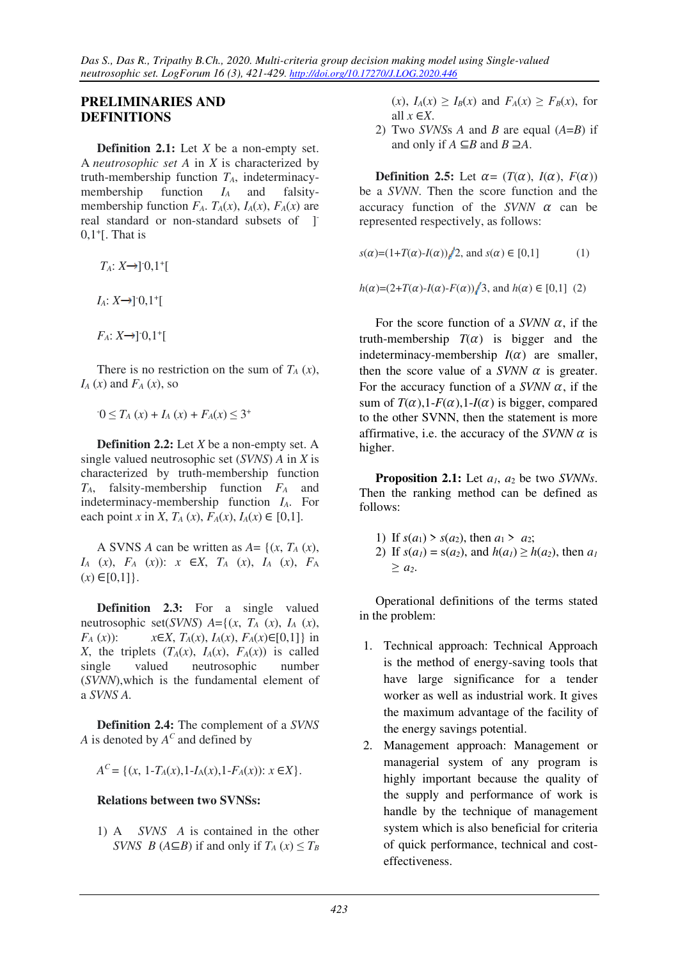### **PRELIMINARIES AND DEFINITIONS**

**Definition 2.1:** Let *X* be a non-empty set. A *neutrosophic set A* in *X* is characterized by truth-membership function *TA*, indeterminacymembership function  $I_A$  and falsitymembership function  $F_A$ ,  $T_A(x)$ ,  $I_A(x)$ ,  $F_A(x)$  are real standard or non-standard subsets of [1] 0,1<sup>+</sup> [. That is

- $T_A: X \rightarrow ]0,1^+[$
- $I_A: X \rightarrow ]0,1^+[$
- $F_A: X \rightarrow ]0,1^+[$

There is no restriction on the sum of  $T_A(x)$ ,  $I_A(x)$  and  $F_A(x)$ , so

 $-0 \le T_A(x) + I_A(x) + F_A(x) \le 3^+$ 

**Definition 2.2:** Let *X* be a non-empty set. A single valued neutrosophic set (*SVNS*) *A* in *X* is characterized by truth-membership function *TA*, falsity-membership function *FA* and indeterminacy-membership function *IA*. For each point *x* in *X*,  $T_A(x)$ ,  $F_A(x)$ ,  $I_A(x) \in [0,1]$ .

A SVNS *A* can be written as  $A = \{(x, T_A(x)),$ *IA* (*x*), *FA* (*x*)): *x* ∈*X*, *TA* (*x*), *IA* (*x*), *F*<sup>A</sup>  $(x) \in [0,1]$ .

**Definition 2.3:** For a single valued neutrosophic set(*SVNS*)  $A = \{(x, T_A(x), I_A(x))\}$ *F<sub>A</sub>* (*x*)):  $x \in X$ , *T<sub>A</sub>*(*x*), *I<sub>A</sub>*(*x*), *F<sub>A</sub>*(*x*)∈[0,1]} in X, the triplets  $(T_A(x), I_A(x), F_A(x))$  is called single valued neutrosophic number (*SVNN*),which is the fundamental element of a *SVNS A.*

**Definition 2.4:** The complement of a *SVNS A* is denoted by *A C* and defined by

 $A^C = \{(x, 1 - T_A(x), 1 - I_A(x), 1 - F_A(x)) : x \in X\}.$ 

### **Relations between two SVNSs:**

1) A *SVNS A* is contained in the other *SVNS B* ( $A \subseteq B$ ) if and only if  $T_A(x) \leq T_B$   $f_A(x) \geq I_B(x)$  and  $F_A(x) \geq F_B(x)$ , for all  $x \in X$ .

2) Two *SVNS*s *A* and *B* are equal (*A*=*B*) if and only if  $A \subseteq B$  and  $B \supseteq A$ .

**Definition 2.5:** Let  $\alpha = (T(\alpha), I(\alpha), F(\alpha))$ be a *SVNN*. Then the score function and the accuracy function of the  $SVMN$   $\alpha$  can be represented respectively, as follows:

 $s(\alpha)=(1+T(\alpha)-I(\alpha))/2$ , and  $s(\alpha) \in [0,1]$  (1)

 $h(\alpha)=(2+T(\alpha)-I(\alpha)-F(\alpha))/3$ , and  $h(\alpha) \in [0,1]$  (2)

For the score function of a *SVNN*  $\alpha$ , if the truth-membership  $T(\alpha)$  is bigger and the indeterminacy-membership  $I(\alpha)$  are smaller, then the score value of a *SVNN*  $\alpha$  is greater. For the accuracy function of a *SVNN*  $\alpha$ , if the sum of  $T(\alpha)$ , 1-*F*( $\alpha$ ), 1-*I*( $\alpha$ ) is bigger, compared to the other SVNN, then the statement is more affirmative, i.e. the accuracy of the *SVNN*  $\alpha$  is higher.

**Proposition 2.1:** Let *a1*, *a*2 be two *SVNNs*. Then the ranking method can be defined as follows:

- 1) If  $s(a_1) > s(a_2)$ , then  $a_1 > a_2$ ;
- 2) If  $s(a_1) = s(a_2)$ , and  $h(a_1) \ge h(a_2)$ , then  $a_1$ *≥ a2*.

Operational definitions of the terms stated in the problem:

- 1. Technical approach: Technical Approach is the method of energy-saving tools that have large significance for a tender worker as well as industrial work. It gives the maximum advantage of the facility of the energy savings potential.
- 2. Management approach: Management or managerial system of any program is highly important because the quality of the supply and performance of work is handle by the technique of management system which is also beneficial for criteria of quick performance, technical and costeffectiveness.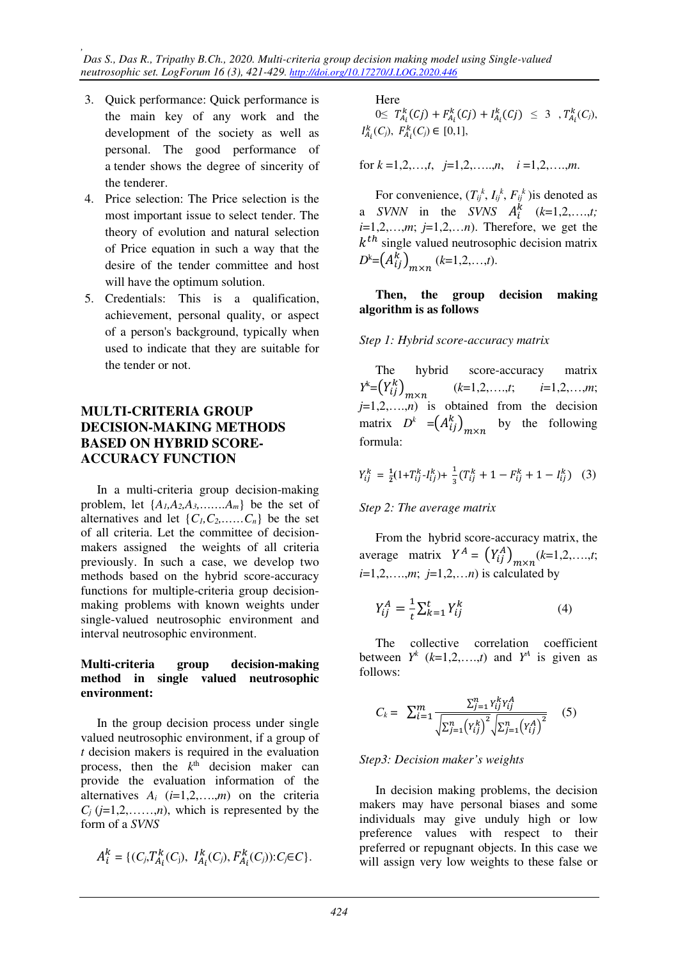*, Das S., Das R., Tripathy B.Ch., 2020. Multi-criteria group decision making model using Single-valued neutrosophic set. LogForum 16 (3), 421-429. http://doi.org/10.17270/J.LOG.2020.446* 

- 3. Quick performance: Quick performance is the main key of any work and the development of the society as well as personal. The good performance of a tender shows the degree of sincerity of the tenderer.
- 4. Price selection: The Price selection is the most important issue to select tender. The theory of evolution and natural selection of Price equation in such a way that the desire of the tender committee and host will have the optimum solution.
- 5. Credentials: This is a qualification, achievement, personal quality, or aspect of a person's background, typically when used to indicate that they are suitable for the tender or not.

## **MULTI-CRITERIA GROUP DECISION-MAKING METHODS BASED ON HYBRID SCORE-ACCURACY FUNCTION**

In a multi-criteria group decision-making problem, let  $\{A_1, A_2, A_3, \ldots, A_m\}$  be the set of alternatives and let  $\{C_1, C_2, \ldots, C_n\}$  be the set of all criteria. Let the committee of decisionmakers assigned the weights of all criteria previously. In such a case, we develop two methods based on the hybrid score-accuracy functions for multiple-criteria group decisionmaking problems with known weights under single-valued neutrosophic environment and interval neutrosophic environment.

#### **Multi-criteria group decision-making method in single valued neutrosophic environment:**

In the group decision process under single valued neutrosophic environment, if a group of *t* decision makers is required in the evaluation process, then the  $k<sup>th</sup>$  decision maker can provide the evaluation information of the alternatives  $A_i$   $(i=1,2,...,m)$  on the criteria  $C_i$  ( $j=1,2,\ldots,n$ ), which is represented by the form of a *SVNS*

$$
A_i^k = \{(C_j, T_{A_i}^k(C_j), I_{A_i}^k(C_j), F_{A_i}^k(C_j)) : C_j \in C\}.
$$

# Here

 $0 \leq T_{A_i}^k(C_j) + F_{A_i}^k(C_j) + I_{A_i}^k(C_j) \leq 3$ ,  $T_{A_i}^k(C_j)$ ,  $I_{A_i}^k(C_j)$ ,  $F_{A_i}^k(C_j) \in [0,1]$ ,

for 
$$
k = 1, 2, ..., t
$$
,  $j = 1, 2, ..., n$ ,  $i = 1, 2, ..., m$ .

For convenience,  $(T_{ij}^k, I_{ij}^k, F_{ij}^k)$  is denoted as a *SVNN* in the *SVNS*  $A_i^k$  (*k*=1,2,...,*t*;  $i=1,2,\ldots,m; j=1,2,\ldots,n$ . Therefore, we get the  $k<sup>th</sup>$  single valued neutrosophic decision matrix  $D^k = (A_{ij}^k)_{m \times n}$  (*k*=1,2,...,*t*).

#### **Then, the group decision making algorithm is as follows**

#### *Step 1: Hybrid score-accuracy matrix*

The hybrid score-accuracy matrix  $Y^k = (Y^k_{ij})$  $j=1,2,...,n$  is obtained from the decision (*k*=1,2,….,*t*; *i*=1,2,…,*m*; matrix  $D^k = (A_{ij}^k)_{m \times n}$  by the following formula:

$$
Y_{ij}^k = \frac{1}{2}(1+T_{ij}^k - I_{ij}^k) + \frac{1}{3}(T_{ij}^k + 1 - F_{ij}^k + 1 - I_{ij}^k)
$$
 (3)

### *Step 2: The average matrix*

From the hybrid score-accuracy matrix, the average matrix  $Y^A = (Y^A_{ij})_{m \times n} (k=1,2,...,t;$ *i*=1,2,….,*m*; *j*=1,2,…*n*) is calculated by

$$
Y_{ij}^A = \frac{1}{t} \sum_{k=1}^t Y_{ij}^k
$$
 (4)

The collective correlation coefficient between  $Y^k$  ( $k=1,2,...,t$ ) and  $Y^A$  is given as follows:

$$
C_k = \sum_{i=1}^{m} \frac{\sum_{j=1}^{n} Y_{ij}^k Y_{ij}^A}{\sqrt{\sum_{j=1}^{n} (Y_{ij}^k)^2} \sqrt{\sum_{j=1}^{n} (Y_{ij}^A)^2}}
$$
 (5)

#### *Step3: Decision maker's weights*

In decision making problems, the decision makers may have personal biases and some individuals may give unduly high or low preference values with respect to their preferred or repugnant objects. In this case we will assign very low weights to these false or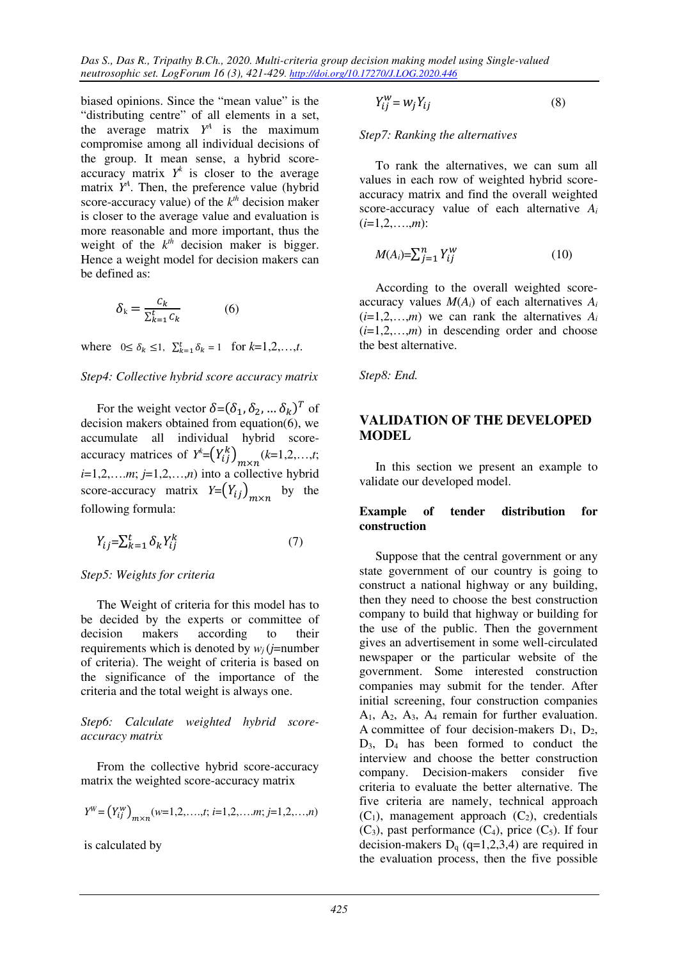*Das S., Das R., Tripathy B.Ch., 2020. Multi-criteria group decision making model using Single-valued neutrosophic set. LogForum 16 (3), 421-429. http://doi.org/10.17270/J.LOG.2020.446* 

biased opinions. Since the "mean value" is the "distributing centre" of all elements in a set, the average matrix  $Y^A$  is the maximum compromise among all individual decisions of the group. It mean sense, a hybrid scoreaccuracy matrix  $Y^k$  is closer to the average matrix  $Y^A$ . Then, the preference value (hybrid score-accuracy value) of the  $k^{th}$  decision maker is closer to the average value and evaluation is more reasonable and more important, thus the weight of the  $k^{th}$  decision maker is bigger. Hence a weight model for decision makers can be defined as:

$$
\delta_{k} = \frac{c_{k}}{\sum_{k=1}^{t} c_{k}} \tag{6}
$$

where  $0 \le \delta_k \le 1$ ,  $\sum_{k=1}^t \delta_k = 1$  for  $k=1,2,...,t$ .

#### *Step4: Collective hybrid score accuracy matrix*

For the weight vector  $\delta = (\delta_1, \delta_2, ..., \delta_k)^T$  of decision makers obtained from equation(6), we accumulate all individual hybrid scoreaccuracy matrices of  $Y^{\text{L}} = (Y^k_{ij})_{m \times n} (k=1,2,...,t;$  $i=1,2,\ldots,m; j=1,2,\ldots,n$  into a collective hybrid score-accuracy matrix  $Y = (Y_{ij})_{m \times n}$  by the following formula:

$$
Y_{ij} = \sum_{k=1}^{t} \delta_k Y_{ij}^k
$$
 (7)

### *Step5: Weights for criteria*

The Weight of criteria for this model has to be decided by the experts or committee of decision makers according to their requirements which is denoted by  $w_i$  (*j*=number of criteria). The weight of criteria is based on the significance of the importance of the criteria and the total weight is always one.

*Step6: Calculate weighted hybrid scoreaccuracy matrix* 

From the collective hybrid score-accuracy matrix the weighted score-accuracy matrix

$$
Y^W = (Y_{ij}^W)_{m \times n}(w=1,2,\ldots,t; i=1,2,\ldots,m; j=1,2,\ldots,n)
$$

is calculated by

$$
Y_{ij}^W = w_j Y_{ij} \tag{8}
$$

*Step7: Ranking the alternatives*

To rank the alternatives, we can sum all values in each row of weighted hybrid scoreaccuracy matrix and find the overall weighted score-accuracy value of each alternative *A<sup>i</sup>*  $(i=1,2,...,m)$ :

$$
M(A_i) = \sum_{j=1}^{n} Y_{ij}^W
$$
 (10)

According to the overall weighted scoreaccuracy values  $M(A_i)$  of each alternatives  $A_i$  $(i=1,2,...,m)$  we can rank the alternatives  $A_i$  $(i=1,2,...,m)$  in descending order and choose the best alternative.

#### *Step8: End.*

### **VALIDATION OF THE DEVELOPED MODEL**

In this section we present an example to validate our developed model.

#### **Example of tender distribution for construction**

Suppose that the central government or any state government of our country is going to construct a national highway or any building, then they need to choose the best construction company to build that highway or building for the use of the public. Then the government gives an advertisement in some well-circulated newspaper or the particular website of the government. Some interested construction companies may submit for the tender. After initial screening, four construction companies A1, A2, A3, A4 remain for further evaluation. A committee of four decision-makers  $D_1$ ,  $D_2$ ,  $D_3$ ,  $D_4$  has been formed to conduct the interview and choose the better construction company. Decision-makers consider five criteria to evaluate the better alternative. The five criteria are namely, technical approach  $(C_1)$ , management approach  $(C_2)$ , credentials  $(C_3)$ , past performance  $(C_4)$ , price  $(C_5)$ . If four decision-makers  $D_q$  (q=1,2,3,4) are required in the evaluation process, then the five possible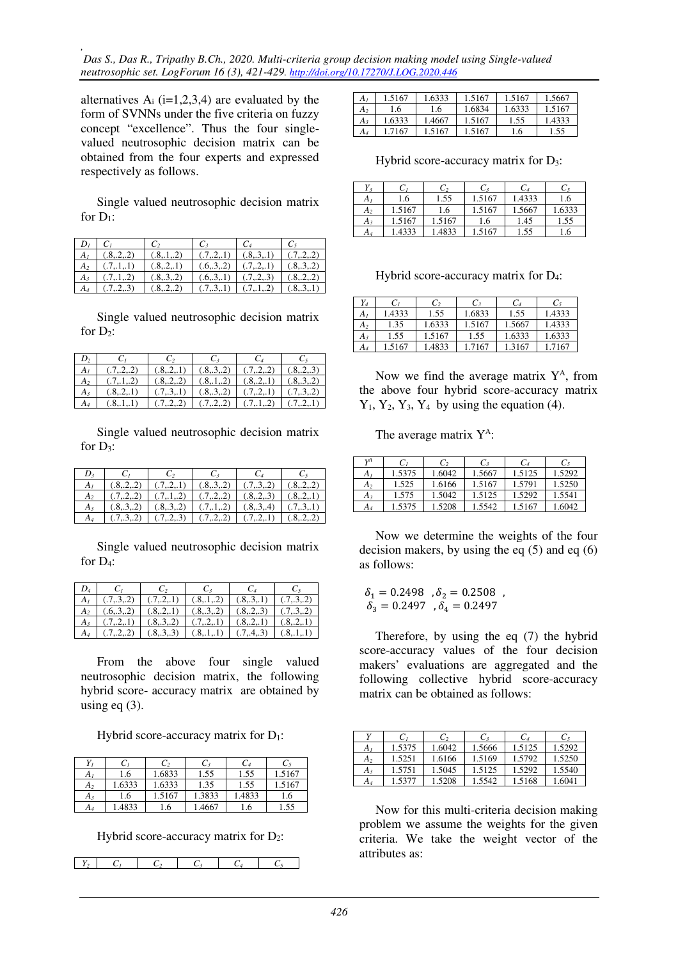*, Das S., Das R., Tripathy B.Ch., 2020. Multi-criteria group decision making model using Single-valued neutrosophic set. LogForum 16 (3), 421-429. http://doi.org/10.17270/J.LOG.2020.446* 

alternatives  $A_i$  (i=1,2,3,4) are evaluated by the form of SVNNs under the five criteria on fuzzy concept "excellence". Thus the four singlevalued neutrosophic decision matrix can be obtained from the four experts and expressed respectively as follows.

Single valued neutrosophic decision matrix for  $D_1$ :

| $D_i$          | $C_{L}$      |              | $C_{3}$      | $C_4$                         |              |
|----------------|--------------|--------------|--------------|-------------------------------|--------------|
| $A_I$          | (.8,.2,.2)   | (.8, .1, .2) | (.7, .2, .1) | (.8, .3, .1)                  | (.7, .2, .2) |
| A <sub>2</sub> | (.7, 1, 1)   | (.821)       |              | $(.6, .3, .2)$ $(.7, .2, .1)$ | (.8, .3, .2) |
| $A_{3}$        | (.7, .1, .2) | (.8, .3, .2) | (.6, .3, .1) | (.7, .2, .3)                  | (.8, .2, .2) |
| $A_4$          | (.7, .2, .3) | (.8,.2,.2)   | (.7, .3, .1) | (.7, .1, .2)                  | (.8, .3, .1) |

Single valued neutrosophic decision matrix for  $D_2$ :

| A <sub>I</sub> | (.7,.2,.2)   | (.8, .2, .1) |              | $(0.8, 0.3, 0.2)$ $(0.7, 0.2, 0.2)$ | (.8, .2, .3) |
|----------------|--------------|--------------|--------------|-------------------------------------|--------------|
| A <sub>2</sub> | (.7, .1, .2) | (.8, .2, .2) | (.8, .1, .2) | (.8, .2, .1)                        | (.8, .3, .2) |
|                | (.821)       | (.7, .3, .1) | (.8, .3, .2) | (.7, .2, .1)                        | (.7, .3, .2) |
|                |              | (.722)       | (.722)       | (.712)                              | (.7,.2,.1)   |

Single valued neutrosophic decision matrix for  $D_3$ :

| A1 |        | $(0.8, 2, 2)$ $(0.7, 2, 1)$ $(0.8, 3, 2)$ $(0.7, 3, 2)$ $(0.8, 2, 2)$ |                 |                               |              |
|----|--------|-----------------------------------------------------------------------|-----------------|-------------------------------|--------------|
|    |        | $(0.7, 0.2, 0)$ $(0.7, 0.1, 0.2)$ $(0.7, 0.2, 0)$ $(0.8, 0.2, 0.3)$   |                 |                               | (.8, .2, .1) |
|    |        | $(.8, .3, .2)$ $(.8, .3, .2)$ $(.7, .1, .2)$                          |                 | $(.8, .3, .4)$ $(.7, .3, .1)$ |              |
|    | (.732) | (.723)                                                                | (0.7, 0.2, 0.2) | (.721)                        | (.822)       |

Single valued neutrosophic decision matrix for D<sub>4</sub>:

| $D_4$          | $C_2$                                                                                   | $C_3$ |  |
|----------------|-----------------------------------------------------------------------------------------|-------|--|
| A <sub>1</sub> | $(0.7, 0.3, 0.2)$ $(0.7, 0.2, 1)$ $(0.8, 0.1, 0.2)$ $(0.8, 0.3, 0.1)$ $(0.7, 0.3, 0.2)$ |       |  |
|                | $A_2$ (.6, 3, 2) (.8, 2, 1) (.8, 3, 2) (.8, 2, 3) (.7, 3, 2)                            |       |  |
|                | $A_3$ $(0.7, 2, 1)$ $(0.8, 3, 2)$ $(0.7, 2, 1)$ $(0.8, 2, 1)$ $(0.8, 2, 1)$             |       |  |
|                | $(.7, .2, .2)$ $(.8, .3, .3)$ $(.8, .1, .1)$ $(.7, .4, .3)$ $(.8, .1, .1)$              |       |  |

From the above four single valued neutrosophic decision matrix, the following hybrid score- accuracy matrix are obtained by using eq  $(3)$ .

Hybrid score-accuracy matrix for  $D_1$ :

| $Y_{I}$ | C)    | C,     | C3     | C4     | C,     |
|---------|-------|--------|--------|--------|--------|
| $A_I$   | 1.6   | 1.6833 | 1.55   | 1.55   | 1.5167 |
| $A_2$   | .6333 | 1.6333 | 1.35   | 1.55   | 1.5167 |
| A3      | 1.6   | 1.5167 | 1.3833 | 1.4833 | 1.6    |
| $A_4$   | .4833 | .6     | .4667  | l.6    | .55    |

Hybrid score-accuracy matrix for  $D_2$ :

|--|--|--|--|

| A <sub>I</sub> | 1.5167 | 1.6333 | 1.5167 | 1.5167 | 1.5667 |
|----------------|--------|--------|--------|--------|--------|
| $A_2$          | 1.6    | 1.6    | 1.6834 | 1.6333 | 1.5167 |
| $A_3$          | 1.6333 | 1.4667 | 1.5167 | 1.55   | 1.4333 |
| A <sub>4</sub> | 1.7167 | 1.5167 | 1.5167 | 1.6    | 1.55   |

Hybrid score-accuracy matrix for  $D_3$ :

| $Y_3$          | U)     | C2     | $C_3$  | C4     | C5    |
|----------------|--------|--------|--------|--------|-------|
| A1             | 1.6    | 1.55   | 1.5167 | 1.4333 | 1.6   |
| A <sub>2</sub> | 1.5167 | 1.6    | 1.5167 | 1.5667 | .6333 |
| $A_3$          | 1.5167 | 1.5167 | 1.6    | 1.45   | 1.55  |
| $A_4$          | .4333  | .4833  | .5167  | 1.55   | L.b   |

Hybrid score-accuracy matrix for D4:

| Y4    | $C_I$  | C,     | $C_3$  | $C_4$  | $C_5$  |
|-------|--------|--------|--------|--------|--------|
| $A_I$ | .4333  | 1.55   | 1.6833 | 1.55   | 1.4333 |
| $A_2$ | 1.35   | 1.6333 | 1.5167 | 1.5667 | 1.4333 |
| $A_3$ | 1.55   | 1.5167 | 1.55   | 1.6333 | 1.6333 |
| $A_4$ | 1.5167 | .4833  | 1.7167 | 1.3167 | 1.7167 |

Now we find the average matrix  $Y^A$ , from the above four hybrid score-accuracy matrix  $Y_1$ ,  $Y_2$ ,  $Y_3$ ,  $Y_4$  by using the equation (4).

The average matrix Y<sup>A</sup>:

| VΑ             | C1     | $\mathcal{C}$ | $C_{3}$ | $C_4$  | $C_5$  |
|----------------|--------|---------------|---------|--------|--------|
| $A_I$          | 1.5375 | .6042         | 1.5667  | 1.5125 | 1.5292 |
| A <sub>2</sub> | 1.525  | 1.6166        | 1.5167  | 1.5791 | 1.5250 |
| $A_3$          | 1.575  | 1.5042        | 1.5125  | 1.5292 | 1.5541 |
| $A_4$          | 1.5375 | 1.5208        | 1.5542  | 1.5167 | 1.6042 |

Now we determine the weights of the four decision makers, by using the eq (5) and eq (6) as follows:

$$
\begin{array}{l} \delta_1 = 0.2498 \;\;, \delta_2 = 0.2508 \;\;, \\ \delta_3 = 0.2497 \;\;, \delta_4 = 0.2497 \end{array}
$$

Therefore, by using the eq (7) the hybrid score-accuracy values of the four decision makers' evaluations are aggregated and the following collective hybrid score-accuracy matrix can be obtained as follows:

|                | C <sub>1</sub> | C,     | $C_{3}$ | $C_4$  | $C_5$  |
|----------------|----------------|--------|---------|--------|--------|
| $A_I$          | 1.5375         | 1.6042 | 1.5666  | 1.5125 | 1.5292 |
| A <sub>2</sub> | 1.5251         | 1.6166 | 1.5169  | 1.5792 | 1.5250 |
| $A_{3}$        | 1.5751         | 1.5045 | 1.5125  | 1.5292 | 1.5540 |
| $A_4$          | 1.5377         | 1.5208 | 1.5542  | 1.5168 | 1.6041 |

Now for this multi-criteria decision making problem we assume the weights for the given criteria. We take the weight vector of the attributes as: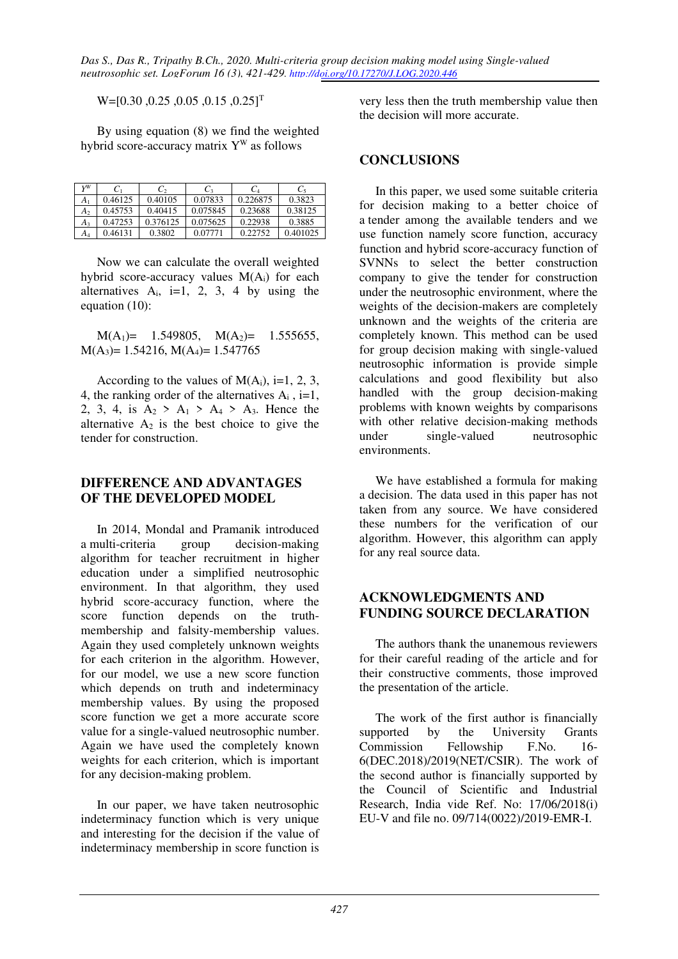$W=[0.30, 0.25, 0.05, 0.15, 0.25]$ <sup>T</sup>

By using equation (8) we find the weighted hybrid score-accuracy matrix  $Y^W$  as follows

| vW      | $C_1$   | C,       | $C_{3}$  | $C_4$    | $C_5$    |
|---------|---------|----------|----------|----------|----------|
| A۱      | 0.46125 | 0.40105  | 0.07833  | 0.226875 | 0.3823   |
| A۰      | 0.45753 | 0.40415  | 0.075845 | 0.23688  | 0.38125  |
| $A_3$   | 0.47253 | 0.376125 | 0.075625 | 0.22938  | 0.3885   |
| $A_{4}$ | 0.46131 | 0.3802   | 0.07771  | 0.22752  | 0.401025 |

Now we can calculate the overall weighted hybrid score-accuracy values M(Ai) for each alternatives  $A_i$ , i=1, 2, 3, 4 by using the equation (10):

 $M(A_1) = 1.549805$ ,  $M(A_2) = 1.555655$ ,  $M(A_3)= 1.54216, M(A_4)= 1.547765$ 

According to the values of  $M(A_i)$ , i=1, 2, 3, 4, the ranking order of the alternatives  $A_i$ , i=1, 2, 3, 4, is  $A_2$  >  $A_1$  >  $A_4$  >  $A_3$ . Hence the alternative  $A_2$  is the best choice to give the tender for construction.

### **DIFFERENCE AND ADVANTAGES OF THE DEVELOPED MODEL**

In 2014, Mondal and Pramanik introduced a multi-criteria group decision-making algorithm for teacher recruitment in higher education under a simplified neutrosophic environment. In that algorithm, they used hybrid score-accuracy function, where the score function depends on the truthmembership and falsity-membership values. Again they used completely unknown weights for each criterion in the algorithm. However, for our model, we use a new score function which depends on truth and indeterminacy membership values. By using the proposed score function we get a more accurate score value for a single-valued neutrosophic number. Again we have used the completely known weights for each criterion, which is important for any decision-making problem.

In our paper, we have taken neutrosophic indeterminacy function which is very unique and interesting for the decision if the value of indeterminacy membership in score function is

very less then the truth membership value then the decision will more accurate.

### **CONCLUSIONS**

In this paper, we used some suitable criteria for decision making to a better choice of a tender among the available tenders and we use function namely score function, accuracy function and hybrid score-accuracy function of SVNNs to select the better construction company to give the tender for construction under the neutrosophic environment, where the weights of the decision-makers are completely unknown and the weights of the criteria are completely known. This method can be used for group decision making with single-valued neutrosophic information is provide simple calculations and good flexibility but also handled with the group decision-making problems with known weights by comparisons with other relative decision-making methods under single-valued neutrosophic environments.

We have established a formula for making a decision. The data used in this paper has not taken from any source. We have considered these numbers for the verification of our algorithm. However, this algorithm can apply for any real source data.

### **ACKNOWLEDGMENTS AND FUNDING SOURCE DECLARATION**

The authors thank the unanemous reviewers for their careful reading of the article and for their constructive comments, those improved the presentation of the article.

The work of the first author is financially supported by the University Grants Commission Fellowship F.No. 16- 6(DEC.2018)/2019(NET/CSIR). The work of the second author is financially supported by the Council of Scientific and Industrial Research, India vide Ref. No: 17/06/2018(i) EU-V and file no. 09/714(0022)/2019-EMR-I.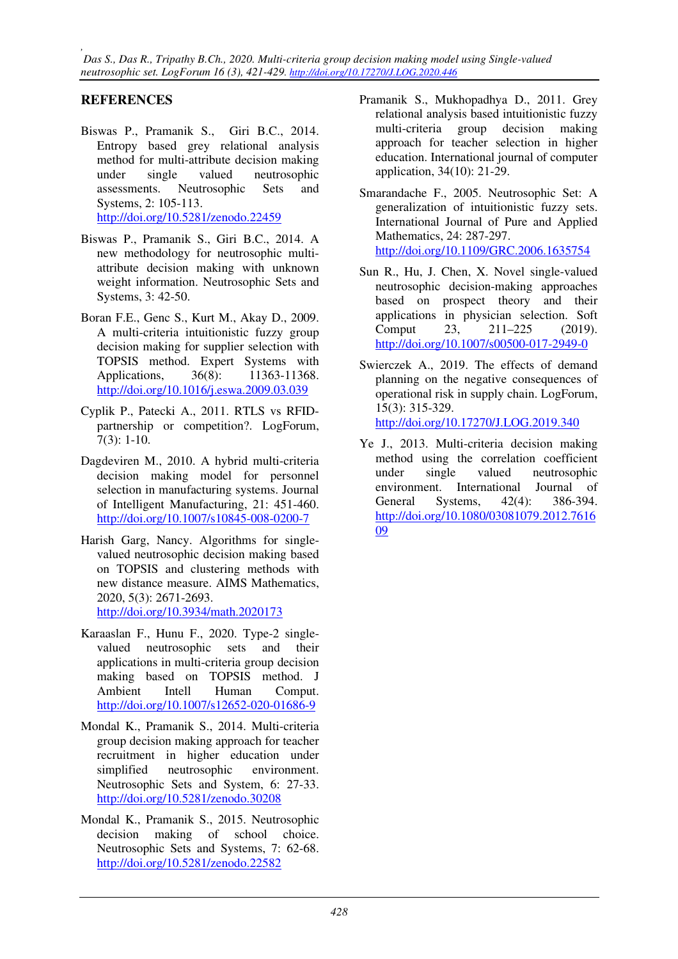*, Das S., Das R., Tripathy B.Ch., 2020. Multi-criteria group decision making model using Single-valued neutrosophic set. LogForum 16 (3), 421-429. http://doi.org/10.17270/J.LOG.2020.446* 

# **REFERENCES**

- Biswas P., Pramanik S., Giri B.C., 2014. Entropy based grey relational analysis method for multi-attribute decision making under single valued neutrosophic assessments. Neutrosophic Sets and Systems, 2: 105-113. http://doi.org/10.5281/zenodo.22459
- Biswas P., Pramanik S., Giri B.C., 2014. A new methodology for neutrosophic multiattribute decision making with unknown weight information. Neutrosophic Sets and Systems, 3: 42-50.
- Boran F.E., Genc S., Kurt M., Akay D., 2009. A multi-criteria intuitionistic fuzzy group decision making for supplier selection with TOPSIS method. Expert Systems with Applications, 36(8): 11363-11368. http://doi.org/10.1016/j.eswa.2009.03.039
- Cyplik P., Patecki A., 2011. RTLS vs RFIDpartnership or competition?. LogForum, 7(3): 1-10.
- Dagdeviren M., 2010. A hybrid multi-criteria decision making model for personnel selection in manufacturing systems. Journal of Intelligent Manufacturing, 21: 451-460. http://doi.org/10.1007/s10845-008-0200-7
- Harish Garg, Nancy. Algorithms for singlevalued neutrosophic decision making based on TOPSIS and clustering methods with new distance measure. AIMS Mathematics, 2020, 5(3): 2671-2693. http://doi.org/10.3934/math.2020173
- Karaaslan F., Hunu F., 2020. Type-2 singlevalued neutrosophic sets and their applications in multi-criteria group decision making based on TOPSIS method. J Ambient Intell Human Comput. http://doi.org/10.1007/s12652-020-01686-9
- Mondal K., Pramanik S., 2014. Multi-criteria group decision making approach for teacher recruitment in higher education under simplified neutrosophic environment. Neutrosophic Sets and System, 6: 27-33. http://doi.org/10.5281/zenodo.30208
- Mondal K., Pramanik S., 2015. Neutrosophic decision making of school choice. Neutrosophic Sets and Systems, 7: 62-68. http://doi.org/10.5281/zenodo.22582
- Pramanik S., Mukhopadhya D., 2011. Grey relational analysis based intuitionistic fuzzy multi-criteria group decision making approach for teacher selection in higher education. International journal of computer application, 34(10): 21-29.
- Smarandache F., 2005. Neutrosophic Set: A generalization of intuitionistic fuzzy sets. International Journal of Pure and Applied Mathematics, 24: 287-297. http://doi.org/10.1109/GRC.2006.1635754
- Sun R., Hu, J. Chen, X. Novel single-valued neutrosophic decision-making approaches based on prospect theory and their applications in physician selection. Soft Comput 23, 211–225 (2019). http://doi.org/10.1007/s00500-017-2949-0
- Swierczek A., 2019. The effects of demand planning on the negative consequences of operational risk in supply chain. LogForum, 15(3): 315-329. http://doi.org/10.17270/J.LOG.2019.340
- Ye J., 2013. Multi-criteria decision making method using the correlation coefficient under single valued neutrosophic environment. International Journal of General Systems, 42(4): 386-394. http://doi.org/10.1080/03081079.2012.7616 09